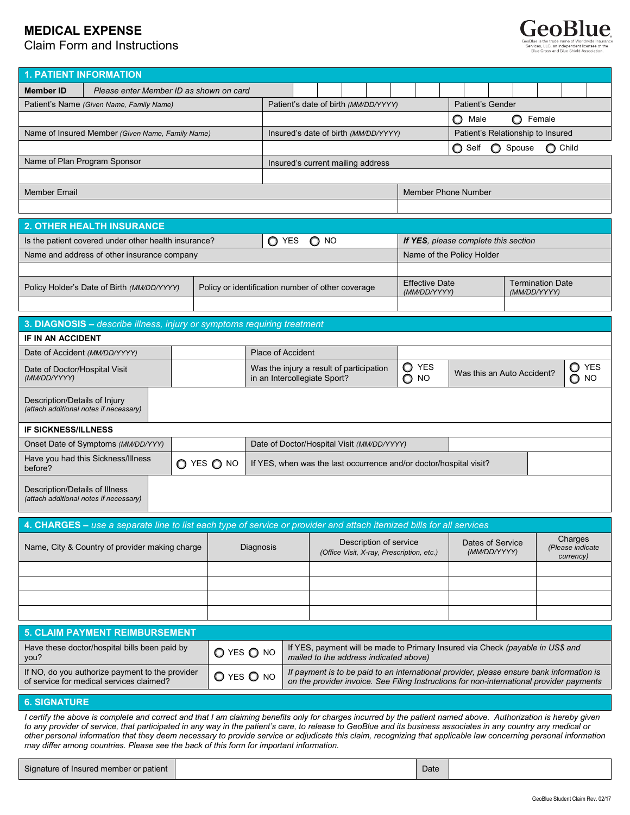# **MEDICAL EXPENSE**

Claim Form and Instructions



| <b>1. PATIENT INFORMATION</b>                                                                                                                                                                                                                                                                                                                                                                                                  |                                                                                                                      |  |                                                                    |  |                                      |                                           |  |                        |               |                                            |                                                          |                  |                                         |        |                               |
|--------------------------------------------------------------------------------------------------------------------------------------------------------------------------------------------------------------------------------------------------------------------------------------------------------------------------------------------------------------------------------------------------------------------------------|----------------------------------------------------------------------------------------------------------------------|--|--------------------------------------------------------------------|--|--------------------------------------|-------------------------------------------|--|------------------------|---------------|--------------------------------------------|----------------------------------------------------------|------------------|-----------------------------------------|--------|-------------------------------|
| Member ID                                                                                                                                                                                                                                                                                                                                                                                                                      |                                                                                                                      |  |                                                                    |  |                                      |                                           |  |                        |               |                                            |                                                          |                  |                                         |        |                               |
| Please enter Member ID as shown on card<br>Patient's Name (Given Name, Family Name)                                                                                                                                                                                                                                                                                                                                            |                                                                                                                      |  |                                                                    |  | Patient's date of birth (MM/DD/YYYY) |                                           |  |                        |               |                                            | <b>Patient's Gender</b>                                  |                  |                                         |        |                               |
|                                                                                                                                                                                                                                                                                                                                                                                                                                |                                                                                                                      |  |                                                                    |  |                                      |                                           |  |                        |               |                                            | O.<br>Male                                               |                  | O                                       | Female |                               |
|                                                                                                                                                                                                                                                                                                                                                                                                                                | Name of Insured Member (Given Name, Family Name)                                                                     |  |                                                                    |  |                                      |                                           |  |                        |               | Patient's Relationship to Insured          |                                                          |                  |                                         |        |                               |
|                                                                                                                                                                                                                                                                                                                                                                                                                                |                                                                                                                      |  |                                                                    |  | Insured's date of birth (MM/DD/YYYY) |                                           |  |                        |               | ◯ Self<br>O.<br>Spouse<br>$\bigcirc$ Child |                                                          |                  |                                         |        |                               |
|                                                                                                                                                                                                                                                                                                                                                                                                                                |                                                                                                                      |  |                                                                    |  |                                      |                                           |  |                        |               |                                            |                                                          |                  |                                         |        |                               |
| Name of Plan Program Sponsor<br>Insured's current mailing address                                                                                                                                                                                                                                                                                                                                                              |                                                                                                                      |  |                                                                    |  |                                      |                                           |  |                        |               |                                            |                                                          |                  |                                         |        |                               |
| Member Phone Number<br><b>Member Email</b>                                                                                                                                                                                                                                                                                                                                                                                     |                                                                                                                      |  |                                                                    |  |                                      |                                           |  |                        |               |                                            |                                                          |                  |                                         |        |                               |
|                                                                                                                                                                                                                                                                                                                                                                                                                                |                                                                                                                      |  |                                                                    |  |                                      |                                           |  |                        |               |                                            |                                                          |                  |                                         |        |                               |
|                                                                                                                                                                                                                                                                                                                                                                                                                                |                                                                                                                      |  |                                                                    |  |                                      |                                           |  |                        |               |                                            |                                                          |                  |                                         |        |                               |
| <b>2. OTHER HEALTH INSURANCE</b>                                                                                                                                                                                                                                                                                                                                                                                               |                                                                                                                      |  |                                                                    |  |                                      |                                           |  |                        |               |                                            |                                                          |                  |                                         |        |                               |
|                                                                                                                                                                                                                                                                                                                                                                                                                                | Is the patient covered under other health insurance?                                                                 |  |                                                                    |  | $O$ YES                              | $\bigcirc$ NO                             |  |                        |               |                                            | If YES, please complete this section                     |                  |                                         |        |                               |
|                                                                                                                                                                                                                                                                                                                                                                                                                                | Name of the Policy Holder<br>Name and address of other insurance company                                             |  |                                                                    |  |                                      |                                           |  |                        |               |                                            |                                                          |                  |                                         |        |                               |
|                                                                                                                                                                                                                                                                                                                                                                                                                                |                                                                                                                      |  |                                                                    |  |                                      |                                           |  |                        |               |                                            |                                                          |                  |                                         |        |                               |
|                                                                                                                                                                                                                                                                                                                                                                                                                                | Policy Holder's Date of Birth (MM/DD/YYYY)                                                                           |  | Policy or identification number of other coverage                  |  |                                      |                                           |  |                        |               | <b>Effective Date</b>                      |                                                          |                  | <b>Termination Date</b><br>(MM/DD/YYYY) |        |                               |
|                                                                                                                                                                                                                                                                                                                                                                                                                                |                                                                                                                      |  |                                                                    |  |                                      |                                           |  |                        |               | (MM/DD/YYYY)                               |                                                          |                  |                                         |        |                               |
|                                                                                                                                                                                                                                                                                                                                                                                                                                | 3. DIAGNOSIS - describe illness, injury or symptoms requiring treatment                                              |  |                                                                    |  |                                      |                                           |  |                        |               |                                            |                                                          |                  |                                         |        |                               |
| <b>IF IN AN ACCIDENT</b>                                                                                                                                                                                                                                                                                                                                                                                                       |                                                                                                                      |  |                                                                    |  |                                      |                                           |  |                        |               |                                            |                                                          |                  |                                         |        |                               |
|                                                                                                                                                                                                                                                                                                                                                                                                                                |                                                                                                                      |  |                                                                    |  |                                      |                                           |  |                        |               |                                            |                                                          |                  |                                         |        |                               |
| Date of Accident (MM/DD/YYYY)                                                                                                                                                                                                                                                                                                                                                                                                  |                                                                                                                      |  | <b>Place of Accident</b>                                           |  |                                      |                                           |  |                        |               | O YES                                      |                                                          |                  |                                         |        |                               |
| Date of Doctor/Hospital Visit<br>(MM/DD/YYYY)                                                                                                                                                                                                                                                                                                                                                                                  |                                                                                                                      |  | in an Intercollegiate Sport?                                       |  |                                      | Was the injury a result of participation  |  |                        | $\bigcirc$ NO |                                            | <b>YES</b><br>O<br>Was this an Auto Accident?<br>O<br>NO |                  |                                         |        |                               |
|                                                                                                                                                                                                                                                                                                                                                                                                                                |                                                                                                                      |  |                                                                    |  |                                      |                                           |  |                        |               |                                            |                                                          |                  |                                         |        |                               |
| Description/Details of Injury<br>(attach additional notes if necessary)                                                                                                                                                                                                                                                                                                                                                        |                                                                                                                      |  |                                                                    |  |                                      |                                           |  |                        |               |                                            |                                                          |                  |                                         |        |                               |
|                                                                                                                                                                                                                                                                                                                                                                                                                                |                                                                                                                      |  |                                                                    |  |                                      |                                           |  |                        |               |                                            |                                                          |                  |                                         |        |                               |
| <b>IF SICKNESS/ILLNESS</b>                                                                                                                                                                                                                                                                                                                                                                                                     |                                                                                                                      |  |                                                                    |  |                                      |                                           |  |                        |               |                                            |                                                          |                  |                                         |        |                               |
| Onset Date of Symptoms (MM/DD/YYY)                                                                                                                                                                                                                                                                                                                                                                                             |                                                                                                                      |  | Date of Doctor/Hospital Visit (MM/DD/YYYY)                         |  |                                      |                                           |  |                        |               |                                            |                                                          |                  |                                         |        |                               |
| Have you had this Sickness/Illness<br>O YES O NO<br>before?                                                                                                                                                                                                                                                                                                                                                                    |                                                                                                                      |  | If YES, when was the last occurrence and/or doctor/hospital visit? |  |                                      |                                           |  |                        |               |                                            |                                                          |                  |                                         |        |                               |
|                                                                                                                                                                                                                                                                                                                                                                                                                                |                                                                                                                      |  |                                                                    |  |                                      |                                           |  |                        |               |                                            |                                                          |                  |                                         |        |                               |
| Description/Details of Illness<br>(attach additional notes if necessary)                                                                                                                                                                                                                                                                                                                                                       |                                                                                                                      |  |                                                                    |  |                                      |                                           |  |                        |               |                                            |                                                          |                  |                                         |        |                               |
|                                                                                                                                                                                                                                                                                                                                                                                                                                |                                                                                                                      |  |                                                                    |  |                                      |                                           |  |                        |               |                                            |                                                          |                  |                                         |        |                               |
|                                                                                                                                                                                                                                                                                                                                                                                                                                | 4. CHARGES - use a separate line to list each type of service or provider and attach itemized bills for all services |  |                                                                    |  |                                      |                                           |  |                        |               |                                            |                                                          |                  |                                         |        |                               |
|                                                                                                                                                                                                                                                                                                                                                                                                                                |                                                                                                                      |  |                                                                    |  |                                      |                                           |  | Description of service |               |                                            |                                                          | Dates of Service |                                         |        | Charges                       |
| Name, City & Country of provider making charge                                                                                                                                                                                                                                                                                                                                                                                 |                                                                                                                      |  | Diagnosis                                                          |  |                                      | (Office Visit, X-ray, Prescription, etc.) |  |                        |               |                                            |                                                          | (MM/DD/YYYY)     |                                         |        | (Please indicate<br>currency) |
|                                                                                                                                                                                                                                                                                                                                                                                                                                |                                                                                                                      |  |                                                                    |  |                                      |                                           |  |                        |               |                                            |                                                          |                  |                                         |        |                               |
|                                                                                                                                                                                                                                                                                                                                                                                                                                |                                                                                                                      |  |                                                                    |  |                                      |                                           |  |                        |               |                                            |                                                          |                  |                                         |        |                               |
|                                                                                                                                                                                                                                                                                                                                                                                                                                |                                                                                                                      |  |                                                                    |  |                                      |                                           |  |                        |               |                                            |                                                          |                  |                                         |        |                               |
|                                                                                                                                                                                                                                                                                                                                                                                                                                |                                                                                                                      |  |                                                                    |  |                                      |                                           |  |                        |               |                                            |                                                          |                  |                                         |        |                               |
|                                                                                                                                                                                                                                                                                                                                                                                                                                |                                                                                                                      |  |                                                                    |  |                                      |                                           |  |                        |               |                                            |                                                          |                  |                                         |        |                               |
| <b>5. CLAIM PAYMENT REIMBURSEMENT</b>                                                                                                                                                                                                                                                                                                                                                                                          |                                                                                                                      |  |                                                                    |  |                                      |                                           |  |                        |               |                                            |                                                          |                  |                                         |        |                               |
| Have these doctor/hospital bills been paid by<br>If YES, payment will be made to Primary Insured via Check (payable in US\$ and<br>$O$ yes $O$ no<br>mailed to the address indicated above)<br>you?                                                                                                                                                                                                                            |                                                                                                                      |  |                                                                    |  |                                      |                                           |  |                        |               |                                            |                                                          |                  |                                         |        |                               |
| If NO, do you authorize payment to the provider<br>If payment is to be paid to an international provider, please ensure bank information is                                                                                                                                                                                                                                                                                    |                                                                                                                      |  |                                                                    |  |                                      |                                           |  |                        |               |                                            |                                                          |                  |                                         |        |                               |
| $O$ yes $O$ no<br>of service for medical services claimed?<br>on the provider invoice. See Filing Instructions for non-international provider payments                                                                                                                                                                                                                                                                         |                                                                                                                      |  |                                                                    |  |                                      |                                           |  |                        |               |                                            |                                                          |                  |                                         |        |                               |
| <b>6. SIGNATURE</b>                                                                                                                                                                                                                                                                                                                                                                                                            |                                                                                                                      |  |                                                                    |  |                                      |                                           |  |                        |               |                                            |                                                          |                  |                                         |        |                               |
| I certify the above is complete and correct and that I am claiming benefits only for charges incurred by the patient named above. Authorization is hereby given                                                                                                                                                                                                                                                                |                                                                                                                      |  |                                                                    |  |                                      |                                           |  |                        |               |                                            |                                                          |                  |                                         |        |                               |
| to any provider of service, that participated in any way in the patient's care, to release to GeoBlue and its business associates in any country any medical or<br>other personal information that they deem necessary to provide service or adjudicate this claim, recognizing that applicable law concerning personal information<br>may differ among countries. Please see the back of this form for important information. |                                                                                                                      |  |                                                                    |  |                                      |                                           |  |                        |               |                                            |                                                          |                  |                                         |        |                               |

| Signature of Insured member or patient |  | Date |  |
|----------------------------------------|--|------|--|
|----------------------------------------|--|------|--|